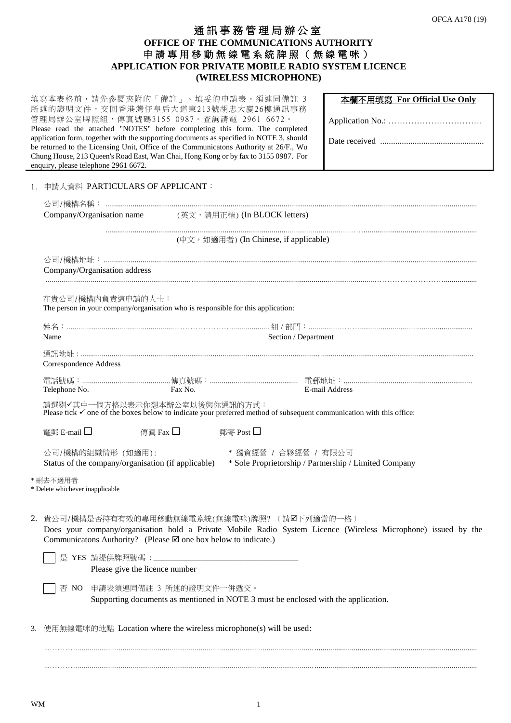## 通訊事務管理局辦公室 **OFFICE OF THE COMMUNICATIONS AUTHORITY** 申 請 專 用 移動無線電系統牌照(無線電咪) **APPLICATION FOR PRIVATE MOBILE RADIO SYSTEM LICENCE (WIRELESS MICROPHONE)**

|                              | 填寫本表格前,請先參閱夾附的「備註」。填妥的申請表,須連同備註 3<br>所述的證明文件, 交回香港灣仔皇后大道東213號胡忠大廈26樓通訊事務<br>管理局辦公室牌照組,傳真號碼3155 0987。查詢請電 2961 6672。<br>Please read the attached "NOTES" before completing this form. The completed<br>application form, together with the supporting documents as specified in NOTE 3, should<br>be returned to the Licensing Unit, Office of the Communicatons Authority at 26/F., Wu<br>Chung House, 213 Queen's Road East, Wan Chai, Hong Kong or by fax to 3155 0987. For<br>enquiry, please telephone 2961 6672. | 本欄不用填寫 For Official Use Only |  |  |  |
|------------------------------|-----------------------------------------------------------------------------------------------------------------------------------------------------------------------------------------------------------------------------------------------------------------------------------------------------------------------------------------------------------------------------------------------------------------------------------------------------------------------------------------------------------------------|------------------------------|--|--|--|
|                              | 1. 申請人資料 PARTICULARS OF APPLICANT:                                                                                                                                                                                                                                                                                                                                                                                                                                                                                    |                              |  |  |  |
|                              | Company/Organisation name<br>(英文,請用正楷) (In BLOCK letters)                                                                                                                                                                                                                                                                                                                                                                                                                                                             |                              |  |  |  |
|                              | (中文, 如適用者) (In Chinese, if applicable)                                                                                                                                                                                                                                                                                                                                                                                                                                                                                |                              |  |  |  |
|                              | Company/Organisation address                                                                                                                                                                                                                                                                                                                                                                                                                                                                                          |                              |  |  |  |
|                              | 在貴公司/機構内負責這申請的人士:<br>The person in your company/organisation who is responsible for this application:                                                                                                                                                                                                                                                                                                                                                                                                                 |                              |  |  |  |
| Name<br>Section / Department |                                                                                                                                                                                                                                                                                                                                                                                                                                                                                                                       |                              |  |  |  |
|                              |                                                                                                                                                                                                                                                                                                                                                                                                                                                                                                                       |                              |  |  |  |
|                              | Correspondence Address                                                                                                                                                                                                                                                                                                                                                                                                                                                                                                |                              |  |  |  |
|                              | Telephone No.<br>Fax No.                                                                                                                                                                                                                                                                                                                                                                                                                                                                                              | E-mail Address               |  |  |  |
|                              | 請選剔√其中一個方格以表示你想本辦公室以後與你通訊的方式:<br>Please tick √ one of the boxes below to indicate your preferred method of subsequent communication with this office:                                                                                                                                                                                                                                                                                                                                                                 |                              |  |  |  |
|                              | 電郵 E-mail □<br>傳眞 Fax $\square$<br>郵寄 Post □                                                                                                                                                                                                                                                                                                                                                                                                                                                                          |                              |  |  |  |
|                              | 公司/機構的組織情形 (如適用):<br>* 獨資經營 / 合夥經營 / 有限公司<br>Status of the company/organisation (if applicable)<br>* Sole Proprietorship / Partnership / Limited Company                                                                                                                                                                                                                                                                                                                                                              |                              |  |  |  |
|                              | * 刪去不適用者<br>* Delete whichever inapplicable                                                                                                                                                                                                                                                                                                                                                                                                                                                                           |                              |  |  |  |
|                              | 2. 貴公司/機構是否持有有效的專用移動無線電系統(無線電咪)牌照? 〔請Ø下列適當的一格〕<br>Does your company/organisation hold a Private Mobile Radio System Licence (Wireless Microphone) issued by the<br>Communicatons Authority? (Please $\boxtimes$ one box below to indicate.)                                                                                                                                                                                                                                                                           |                              |  |  |  |
|                              | 是 YES 請提供牌照號碼 : _____________<br>Please give the licence number                                                                                                                                                                                                                                                                                                                                                                                                                                                       |                              |  |  |  |
|                              | 否 NO 申請表須連同備註 3 所述的證明文件一併遞交。<br>Supporting documents as mentioned in NOTE 3 must be enclosed with the application.                                                                                                                                                                                                                                                                                                                                                                                                    |                              |  |  |  |
| 3.                           | 使用無線電咪的地點 Location where the wireless microphone(s) will be used:                                                                                                                                                                                                                                                                                                                                                                                                                                                     |                              |  |  |  |
|                              |                                                                                                                                                                                                                                                                                                                                                                                                                                                                                                                       |                              |  |  |  |

.…………......................................................................................................................... ...................................................................................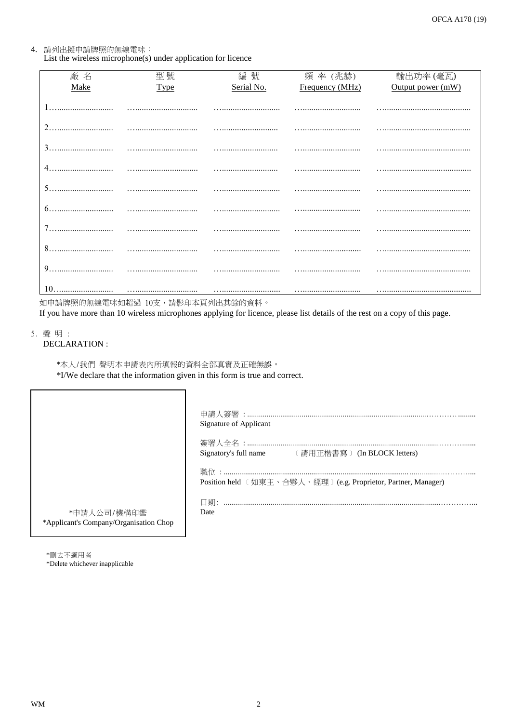# 4. 請列出擬申請牌照的無線電咪:

List the wireless microphone(s) under application for licence

| 廠名   | 型號   | 編號         | 頻率 (兆赫)         | 輸出功率(毫瓦)          |
|------|------|------------|-----------------|-------------------|
| Make | Type | Serial No. | Frequency (MHz) | Output power (mW) |
|      |      |            |                 |                   |
|      |      |            |                 |                   |
|      |      |            |                 |                   |
|      |      |            |                 |                   |
| 5.   |      |            |                 |                   |
|      |      |            |                 |                   |
|      |      |            |                 |                   |
| 8.   |      |            |                 |                   |
|      |      |            |                 |                   |
|      |      |            |                 |                   |

如申請牌照的無線電咪如超過 10支,請影印本頁列出其餘的資料。

If you have more than 10 wireless microphones applying for licence, please list details of the rest on a copy of this page.

5. 聲明:

Г

**DECLARATION:** 

\*本人/我們 聲明本申請表內所填報的資料全部真實及正確無誤。 \*I/We declare that the information given in this form is true and correct.

|                                                       | Signature of Applicant                                        |
|-------------------------------------------------------|---------------------------------------------------------------|
|                                                       | Signatory's full name (請用正楷書寫) (In BLOCK letters)             |
|                                                       | Position held 〔如東主、合夥人、經理〕(e.g. Proprietor, Partner, Manager) |
| *申請人公司/機構印鑑<br>*Applicant's Company/Organisation Chop | 日期:<br>Date                                                   |

\*刪去不適用者 \*Delete whichever inapplicable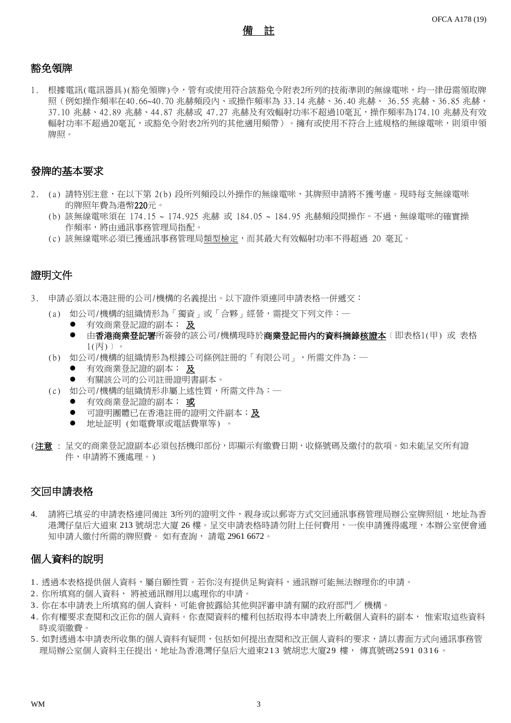備 註

### 豁免領牌

1. 根據電訊(電訊器具)(豁免領牌)令,管有或使用符合該豁免令附表2所列的技術準則的無線電咪,均一律毋需領取牌 照(例如操作頻率在40.66~40.70 兆赫頻段內、或操作頻率為 33.14 兆赫、36.40 兆赫、 36.55 兆赫、36.85 兆赫、 37.10 兆赫、42.89 兆赫、44.87 兆赫或 47.27 兆赫及有效輻射功率不超過10毫瓦,操作頻率為174.10 兆赫及有效 輻射功率不超過20毫瓦,或豁免令附表2所列的其他適用頻帶)。擁有或使用不符合上述規格的無線電咪,則須申領 牌照。

## 發牌的基本要求

- 2. (a) 請特別注意,在以下第 2(b) 段所列頻段以外操作的無線電咪,其牌照申請將不獲考慮。現時每支無線電咪 的牌照年費為港幣220元。
	- (b) 該無線電咪須在 174.15 ~ 174.925 兆赫 或 184.05 ~ 184.95 兆赫頻段間操作。不過,無線電咪的確實操 作頻率,將由通訊事務管理局指配。
	- (c) 該無線電咪必須已獲通訊事務管理局類型檢定,而其最大有效輻射功率不得超過 20 毫瓦。

## 證明文件

- 3. 申請必須以本港註冊的公司/機構的名義提出。以下證件須連同申請表格一併遞交:
	- (a) 如公司/機構的組織情形為「獨資」或「合夥」經營,需提交下列文件:─
		- 有效商業登記證的副本; 及
		- 由香港商業登記署所簽發的該公司/機構現時於商業登記冊內的資料摘錄核證本〔即表格1(甲) 或 表格 1(丙)﹞。
	- (b) 如公司/機構的組織情形為根據公司條例註冊的「有限公司」,所需文件為:─
		- 有效商業登記證的副本; 及
		- 有關該公司的公司註冊證明書副本。
	- (c) 如公司/機構的組織情形非屬上述性質,所需文件為:─
		- **有效商業登記證的副本; 或**
		- **●** 可證明團體已在香港註冊的證明文件副本;及
		- 地址証明 (如電費單或電話費單等) 。
- (注意 : 呈交的商業登記證副本必須包括機印部份,即顯示有繳費日期,收條號碼及繳付的款項。如未能呈交所有證 件,申請將不獲處理。)

### 交回申請表格

請將已填妥的申請表格連同備註 3所列的證明文件,親身或以郵寄方式交回通訊事務管理局辦公室牌照組,地址為香 港灣仔皇后大道東 213 號胡忠大廈 26 樓。呈交申請表格時請勿附上任何費用,一俟申請獲得處理,本辦公室便會通 知申請人繳付所需的牌照費。 如有查詢, 請電 2961 6672。

## 個人資料的說明

- 1. 透過本表格提供個人資料,屬自願性質。若你沒有提供足夠資料,通訊辦可能無法辦理你的申請。
- 2. 你所填寫的個人資料, 將被通訊辦用以處理你的申請。
- 3 . 你在本申請表上所填寫的個人資料,可能會披露給其他與評審申請有關的政府部門/ 機構。
- 4 . 你有權要求查閱和改正你的個人資料。你查閱資料的權利包括取得本申請表上所載個人資料的副本, 惟索取這些資料 時或須繳費。
- 5 . 如對透過本申請表所收集的個人資料有疑問,包括如何提出查閱和改正個人資料的要求,請以書面方式向通訊事務管 理局辦公室個人資料主任提出,地址為香港灣仔皇后大道東213 號胡忠大廈29 樓, 傳真號碼2591 0316。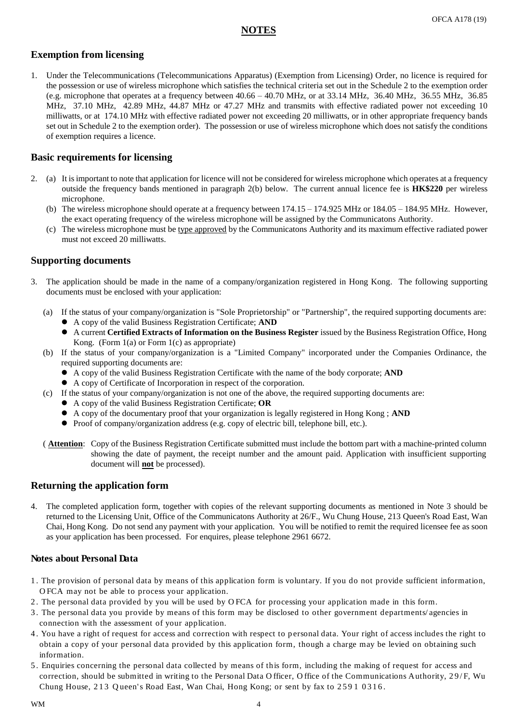## **NOTES**

## **Exemption from licensing**

1. Under the Telecommunications (Telecommunications Apparatus) (Exemption from Licensing) Order, no licence is required for the possession or use of wireless microphone which satisfies the technical criteria set out in the Schedule 2 to the exemption order (e.g. microphone that operates at a frequency between 40.66 – 40.70 MHz, or at 33.14 MHz, 36.40 MHz, 36.55 MHz, 36.85 MHz, 37.10 MHz, 42.89 MHz, 44.87 MHz or 47.27 MHz and transmits with effective radiated power not exceeding 10 milliwatts, or at 174.10 MHz with effective radiated power not exceeding 20 milliwatts, or in other appropriate frequency bands set out in Schedule 2 to the exemption order). The possession or use of wireless microphone which does not satisfy the conditions of exemption requires a licence.

## **Basic requirements for licensing**

- 2. (a) It is important to note that application for licence will not be considered for wireless microphone which operates at a frequency outside the frequency bands mentioned in paragraph 2(b) below. The current annual licence fee is **HK\$220** per wireless microphone.
	- (b) The wireless microphone should operate at a frequency between 174.15 174.925 MHz or 184.05 184.95 MHz. However, the exact operating frequency of the wireless microphone will be assigned by the Communicatons Authority.
	- (c) The wireless microphone must be type approved by the Communicatons Authority and its maximum effective radiated power must not exceed 20 milliwatts.

### **Supporting documents**

- 3. The application should be made in the name of a company/organization registered in Hong Kong. The following supporting documents must be enclosed with your application:
	- (a) If the status of your company/organization is "Sole Proprietorship" or "Partnership", the required supporting documents are:
		- A copy of the valid Business Registration Certificate; **AND**
		- A current **Certified Extracts of Information on the Business Register** issued by the Business Registration Office, Hong Kong. (Form  $1(a)$  or Form  $1(c)$  as appropriate)
	- (b) If the status of your company/organization is a "Limited Company" incorporated under the Companies Ordinance, the required supporting documents are:
		- A copy of the valid Business Registration Certificate with the name of the body corporate; **AND**
		- A copy of Certificate of Incorporation in respect of the corporation.
	- (c) If the status of your company/organization is not one of the above, the required supporting documents are:
		- A copy of the valid Business Registration Certificate; **OR**
		- A copy of the documentary proof that your organization is legally registered in Hong Kong ; **AND**
		- Proof of company/organization address (e.g. copy of electric bill, telephone bill, etc.).
	- ( **Attention**: Copy of the Business Registration Certificate submitted must include the bottom part with a machine-printed column showing the date of payment, the receipt number and the amount paid. Application with insufficient supporting document will **not** be processed).

### **Returning the application form**

4. The completed application form, together with copies of the relevant supporting documents as mentioned in Note 3 should be returned to the Licensing Unit, Office of the Communicatons Authority at 26/F., Wu Chung House, 213 Queen's Road East, Wan Chai, Hong Kong. Do not send any payment with your application. You will be notified to remit the required licensee fee as soon as your application has been processed. For enquires, please telephone 2961 6672.

#### **Notes about Personal Data**

- 1 . The provision of personal data by means of this application form is voluntary. If you do not provide sufficient information, O FCA may not be able to process your application.
- 2 . The personal data provided by you will be used by O FCA for processing your application made in this form.
- 3 . The personal data you provide by means of this form may be disclosed to other government departments/ agencies in connection with the assessment of your application.
- 4 . You have a right of request for access and correction with respect to p ersonal data. Your right of access includes the right to obtain a copy of your personal data provided by this application form, though a charge may be levied on obtaining such information.
- 5 . Enquiries concerning the personal data collected by means of this form, including the making of request for access and correction, should be submitted in writing to the Personal Data Officer, Office of the Communications Authority, 29/F, Wu Chung House, 213 Queen's Road East, Wan Chai, Hong Kong; or sent by fax to 2591 0316.